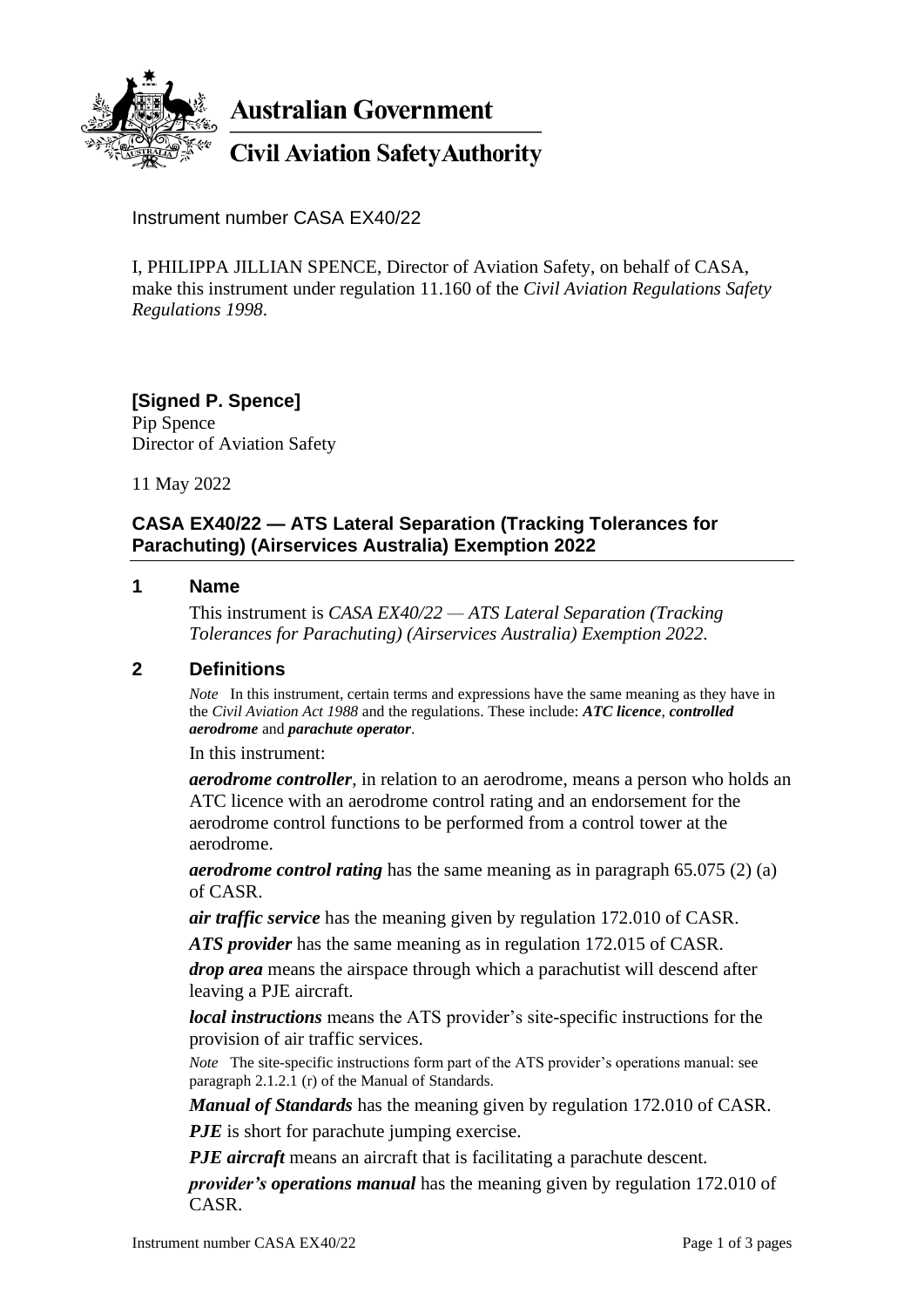

**Australian Government** 

# **Civil Aviation Safety Authority**

Instrument number CASA EX40/22

I, PHILIPPA JILLIAN SPENCE, Director of Aviation Safety, on behalf of CASA, make this instrument under regulation 11.160 of the *Civil Aviation Regulations Safety Regulations 1998*.

## **[Signed P. Spence]** Pip Spence Director of Aviation Safety

11 May 2022

# **CASA EX40/22 — ATS Lateral Separation (Tracking Tolerances for Parachuting) (Airservices Australia) Exemption 2022**

### **1 Name**

This instrument is *CASA EX40/22 — ATS Lateral Separation (Tracking Tolerances for Parachuting) (Airservices Australia) Exemption 2022*.

## **2 Definitions**

*Note* In this instrument, certain terms and expressions have the same meaning as they have in the *Civil Aviation Act 1988* and the regulations. These include: *ATC licence*, *controlled aerodrome* and *parachute operator*.

In this instrument:

*aerodrome controller*, in relation to an aerodrome, means a person who holds an ATC licence with an aerodrome control rating and an endorsement for the aerodrome control functions to be performed from a control tower at the aerodrome.

*aerodrome control rating* has the same meaning as in paragraph 65.075 (2) (a) of CASR.

*air traffic service* has the meaning given by regulation 172.010 of CASR.

*ATS provider* has the same meaning as in regulation 172.015 of CASR.

*drop area* means the airspace through which a parachutist will descend after leaving a PJE aircraft.

*local instructions* means the ATS provider's site-specific instructions for the provision of air traffic services.

*Note* The site-specific instructions form part of the ATS provider's operations manual: see paragraph 2.1.2.1 (r) of the Manual of Standards.

*Manual of Standards* has the meaning given by regulation 172.010 of CASR.

*PJE* is short for parachute jumping exercise.

*PJE aircraft* means an aircraft that is facilitating a parachute descent.

*provider's operations manual* has the meaning given by regulation 172.010 of CASR.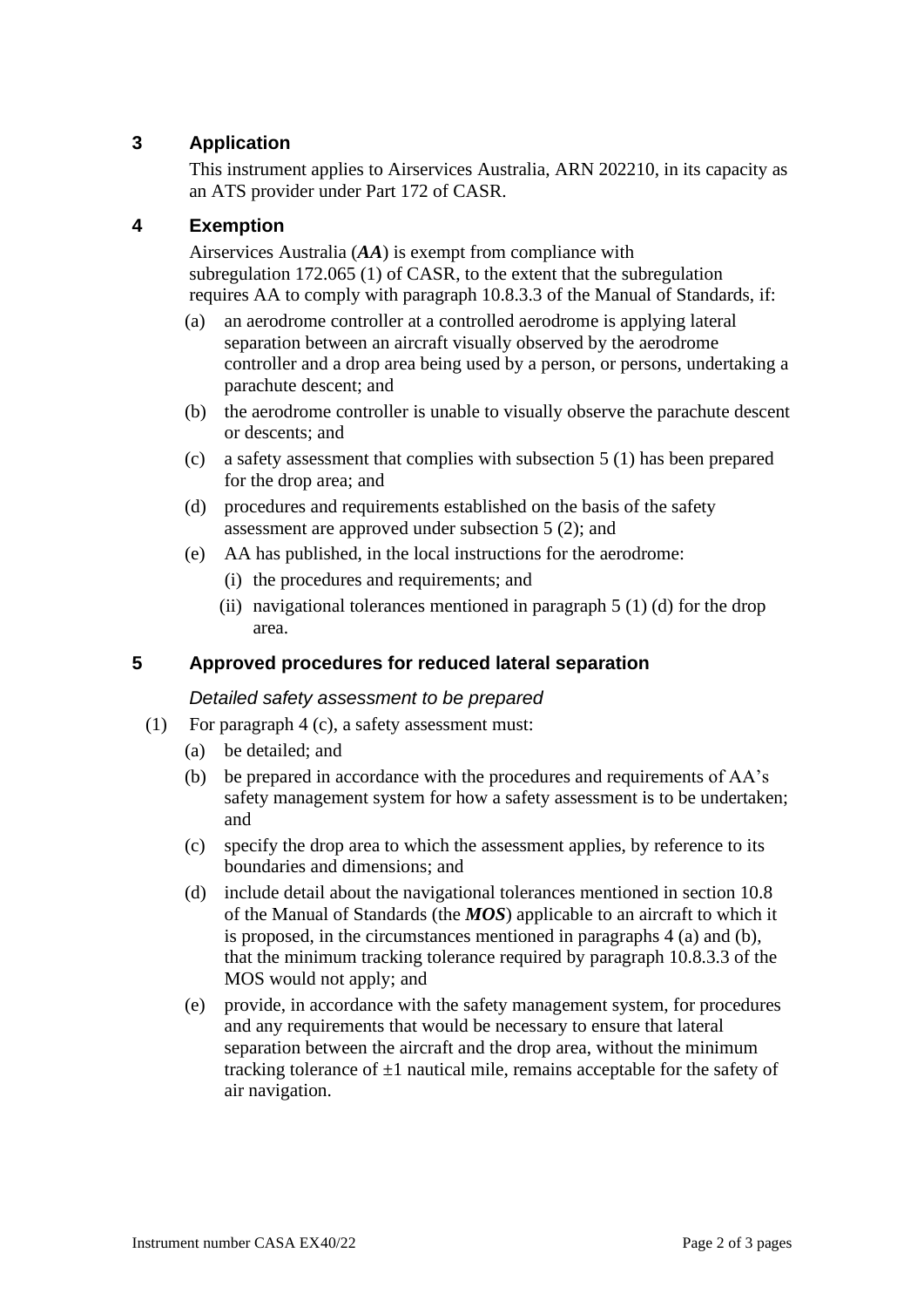# **3 Application**

This instrument applies to Airservices Australia, ARN 202210, in its capacity as an ATS provider under Part 172 of CASR.

# **4 Exemption**

Airservices Australia (*AA*) is exempt from compliance with subregulation 172.065 (1) of CASR, to the extent that the subregulation requires AA to comply with paragraph 10.8.3.3 of the Manual of Standards, if:

- (a) an aerodrome controller at a controlled aerodrome is applying lateral separation between an aircraft visually observed by the aerodrome controller and a drop area being used by a person, or persons, undertaking a parachute descent; and
- (b) the aerodrome controller is unable to visually observe the parachute descent or descents; and
- (c) a safety assessment that complies with subsection 5 (1) has been prepared for the drop area; and
- (d) procedures and requirements established on the basis of the safety assessment are approved under subsection 5 (2); and
- (e) AA has published, in the local instructions for the aerodrome:
	- (i) the procedures and requirements; and
	- (ii) navigational tolerances mentioned in paragraph  $5(1)(d)$  for the drop area.

## **5 Approved procedures for reduced lateral separation**

#### *Detailed safety assessment to be prepared*

- (1) For paragraph 4 (c), a safety assessment must:
	- (a) be detailed; and
	- (b) be prepared in accordance with the procedures and requirements of AA's safety management system for how a safety assessment is to be undertaken; and
	- (c) specify the drop area to which the assessment applies, by reference to its boundaries and dimensions; and
	- (d) include detail about the navigational tolerances mentioned in section 10.8 of the Manual of Standards (the *MOS*) applicable to an aircraft to which it is proposed, in the circumstances mentioned in paragraphs 4 (a) and (b), that the minimum tracking tolerance required by paragraph 10.8.3.3 of the MOS would not apply; and
	- (e) provide, in accordance with the safety management system, for procedures and any requirements that would be necessary to ensure that lateral separation between the aircraft and the drop area, without the minimum tracking tolerance of  $\pm 1$  nautical mile, remains acceptable for the safety of air navigation.